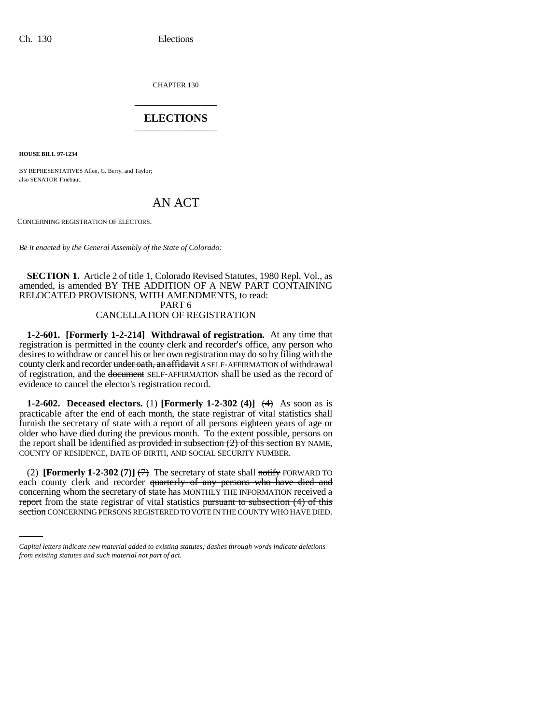CHAPTER 130 \_\_\_\_\_\_\_\_\_\_\_\_\_\_\_

# **ELECTIONS** \_\_\_\_\_\_\_\_\_\_\_\_\_\_\_

**HOUSE BILL 97-1234**

BY REPRESENTATIVES Allen, G. Berry, and Taylor; also SENATOR Thiebaut.

# AN ACT

CONCERNING REGISTRATION OF ELECTORS.

*Be it enacted by the General Assembly of the State of Colorado:*

### **SECTION 1.** Article 2 of title 1, Colorado Revised Statutes, 1980 Repl. Vol., as amended, is amended BY THE ADDITION OF A NEW PART CONTAINING RELOCATED PROVISIONS, WITH AMENDMENTS, to read: PART 6 CANCELLATION OF REGISTRATION

**1-2-601. [Formerly 1-2-214] Withdrawal of registration.** At any time that registration is permitted in the county clerk and recorder's office, any person who desires to withdraw or cancel his or her own registration may do so by filing with the county clerk and recorder under oath, an affidavit A SELF-AFFIRMATION of withdrawal of registration, and the document SELF-AFFIRMATION shall be used as the record of evidence to cancel the elector's registration record.

**1-2-602. Deceased electors.** (1) **[Formerly 1-2-302 (4)]**  $\leftrightarrow$  As soon as is practicable after the end of each month, the state registrar of vital statistics shall furnish the secretary of state with a report of all persons eighteen years of age or older who have died during the previous month. To the extent possible, persons on the report shall be identified as provided in subsection  $(2)$  of this section BY NAME, COUNTY OF RESIDENCE, DATE OF BIRTH, AND SOCIAL SECURITY NUMBER.

eduction county even and recorder quarterly of any persons who have did and concerning whom the secretary of state has MONTHLY THE INFORMATION received a (2) **[Formerly 1-2-302 (7)]**  $\left(\frac{1}{2}\right)$  The secretary of state shall notify FORWARD TO each county clerk and recorder quarterly of any persons who have died and report from the state registrar of vital statistics pursuant to subsection (4) of this section CONCERNING PERSONS REGISTERED TO VOTE IN THE COUNTY WHO HAVE DIED.

*Capital letters indicate new material added to existing statutes; dashes through words indicate deletions from existing statutes and such material not part of act.*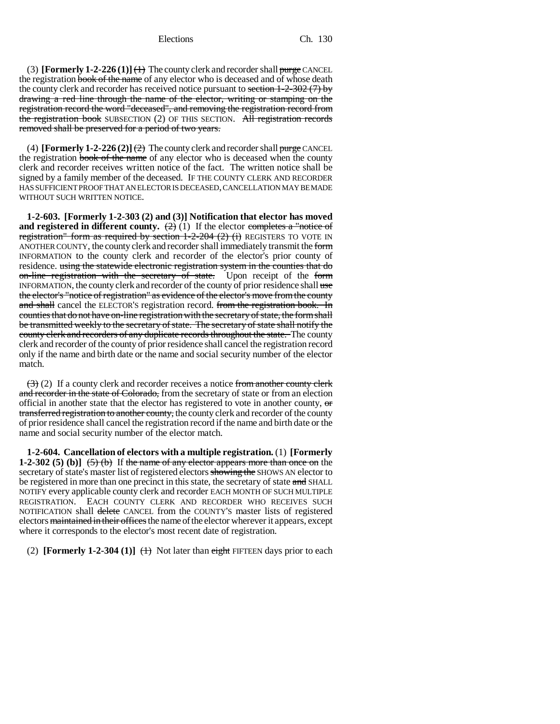Elections Ch. 130

(3) **[Formerly 1-2-226 (1)]**  $\leftrightarrow$  The county clerk and recorder shall purge CANCEL the registration book of the name of any elector who is deceased and of whose death the county clerk and recorder has received notice pursuant to section  $1-2-302$  (7) by drawing a red line through the name of the elector, writing or stamping on the registration record the word "deceased", and removing the registration record from the registration book SUBSECTION (2) OF THIS SECTION. All registration records removed shall be preserved for a period of two years.

(4) **[Formerly 1-2-226 (2)]**  $\left(\frac{2}{2}\right)$  The county clerk and recorder shall purge CANCEL the registration book of the name of any elector who is deceased when the county clerk and recorder receives written notice of the fact. The written notice shall be signed by a family member of the deceased. IF THE COUNTY CLERK AND RECORDER HAS SUFFICIENT PROOF THAT AN ELECTOR IS DECEASED, CANCELLATION MAY BE MADE WITHOUT SUCH WRITTEN NOTICE.

**1-2-603. [Formerly 1-2-303 (2) and (3)] Notification that elector has moved and registered in different county.**  $\left(\frac{2}{2}\right)(1)$  If the elector completes a "notice of registration" form as required by section  $1-2-204$  (2) (i) REGISTERS TO VOTE IN ANOTHER COUNTY, the county clerk and recorder shall immediately transmit the form INFORMATION to the county clerk and recorder of the elector's prior county of residence. using the statewide electronic registration system in the counties that do on-line registration with the secretary of state. Upon receipt of the form INFORMATION, the county clerk and recorder of the county of prior residence shall use the elector's "notice of registration" as evidence of the elector's move from the county and shall cancel the ELECTOR's registration record. from the registration book. In counties that do not have on-line registration with the secretary of state, the form shall be transmitted weekly to the secretary of state. The secretary of state shall notify the county clerk and recorders of any duplicate records throughout the state. The county clerk and recorder of the county of prior residence shall cancel the registration record only if the name and birth date or the name and social security number of the elector match.

 $(3)$  (2) If a county clerk and recorder receives a notice from another county clerk and recorder in the state of Colorado, from the secretary of state or from an election official in another state that the elector has registered to vote in another county, or transferred registration to another county, the county clerk and recorder of the county of prior residence shall cancel the registration record if the name and birth date or the name and social security number of the elector match.

**1-2-604. Cancellation of electors with a multiple registration.** (1) **[Formerly 1-2-302 (5) (b)]**  $(5)$  (b) If the name of any elector appears more than once on the secretary of state's master list of registered electors showing the SHOWS AN elector to be registered in more than one precinct in this state, the secretary of state and SHALL NOTIFY every applicable county clerk and recorder EACH MONTH OF SUCH MULTIPLE REGISTRATION. EACH COUNTY CLERK AND RECORDER WHO RECEIVES SUCH NOTIFICATION shall delete CANCEL from the COUNTY'S master lists of registered electors maintained in their offices the name of the elector wherever it appears, except where it corresponds to the elector's most recent date of registration.

(2) **[Formerly 1-2-304 (1)]**  $\leftrightarrow$  Not later than eight FIFTEEN days prior to each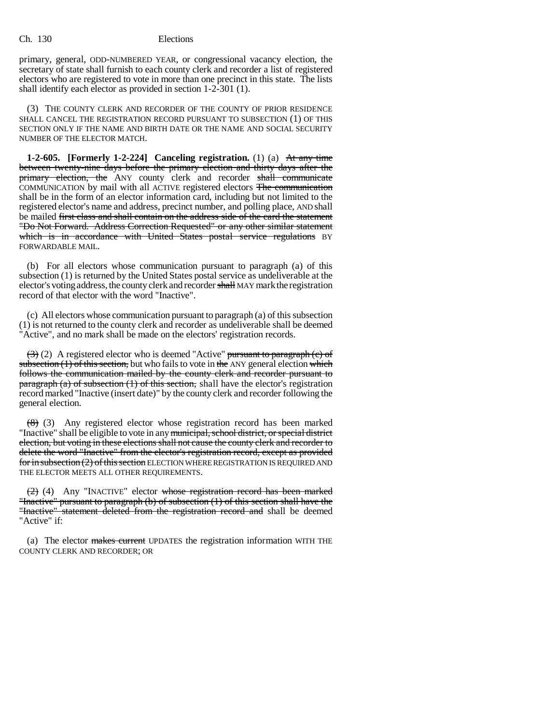primary, general, ODD-NUMBERED YEAR, or congressional vacancy election, the secretary of state shall furnish to each county clerk and recorder a list of registered electors who are registered to vote in more than one precinct in this state. The lists shall identify each elector as provided in section 1-2-301 (1).

(3) THE COUNTY CLERK AND RECORDER OF THE COUNTY OF PRIOR RESIDENCE SHALL CANCEL THE REGISTRATION RECORD PURSUANT TO SUBSECTION (1) OF THIS SECTION ONLY IF THE NAME AND BIRTH DATE OR THE NAME AND SOCIAL SECURITY NUMBER OF THE ELECTOR MATCH.

**1-2-605. [Formerly 1-2-224] Canceling registration.** (1) (a) At any time between twenty-nine days before the primary election and thirty days after the primary election, the ANY county clerk and recorder shall communicate COMMUNICATION by mail with all ACTIVE registered electors The communication shall be in the form of an elector information card, including but not limited to the registered elector's name and address, precinct number, and polling place, AND shall be mailed first class and shall contain on the address side of the card the statement "Do Not Forward. Address Correction Requested" or any other similar statement which is in accordance with United States postal service regulations BY FORWARDABLE MAIL.

(b) For all electors whose communication pursuant to paragraph (a) of this subsection (1) is returned by the United States postal service as undeliverable at the elector's voting address, the county clerk and recorder shall MAY mark the registration record of that elector with the word "Inactive".

(c) All electors whose communication pursuant to paragraph (a) of this subsection (1) is not returned to the county clerk and recorder as undeliverable shall be deemed "Active", and no mark shall be made on the electors' registration records.

 $(3)(2)$  A registered elector who is deemed "Active" pursuant to paragraph (c) of subsection  $(1)$  of this section, but who fails to vote in the ANY general election which follows the communication mailed by the county clerk and recorder pursuant to **paragraph (a) of subsection (1) of this section,** shall have the elector's registration record marked "Inactive (insert date)" by the county clerk and recorder following the general election.

(8) (3) Any registered elector whose registration record has been marked "Inactive" shall be eligible to vote in any municipal, school district, or special district election, but voting in these elections shall not cause the county clerk and recorder to delete the word "Inactive" from the elector's registration record, except as provided for in subsection (2) of this section ELECTION WHERE REGISTRATION IS REQUIRED AND THE ELECTOR MEETS ALL OTHER REQUIREMENTS.

(2) (4) Any "INACTIVE" elector whose registration record has been marked "Inactive" pursuant to paragraph (b) of subsection (1) of this section shall have the "Inactive" statement deleted from the registration record and shall be deemed "Active" if:

(a) The elector makes current UPDATES the registration information WITH THE COUNTY CLERK AND RECORDER; OR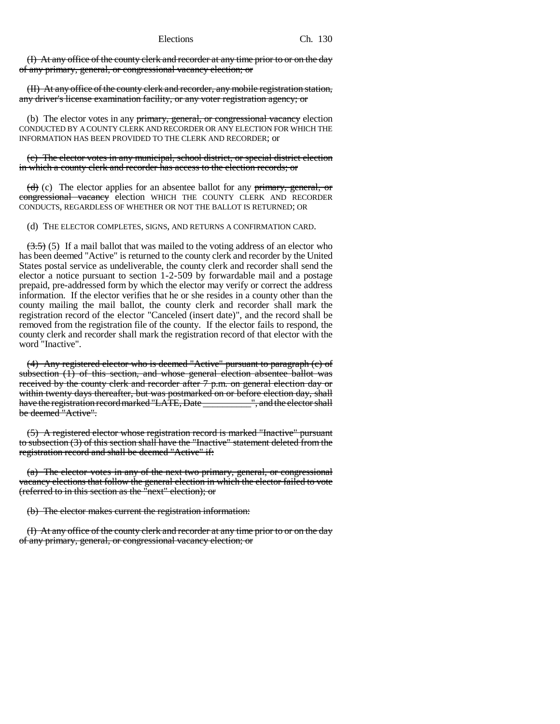(I) At any office of the county clerk and recorder at any time prior to or on the day of any primary, general, or congressional vacancy election; or

(II) At any office of the county clerk and recorder, any mobile registration station, any driver's license examination facility, or any voter registration agency; or

(b) The elector votes in any primary, general, or congressional vacancy election CONDUCTED BY A COUNTY CLERK AND RECORDER OR ANY ELECTION FOR WHICH THE INFORMATION HAS BEEN PROVIDED TO THE CLERK AND RECORDER; or

(c) The elector votes in any municipal, school district, or special district election in which a county clerk and recorder has access to the election records; or

 $\langle d \rangle$  (c) The elector applies for an absentee ballot for any primary, general, or congressional vacancy election WHICH THE COUNTY CLERK AND RECORDER CONDUCTS, REGARDLESS OF WHETHER OR NOT THE BALLOT IS RETURNED; OR

(d) THE ELECTOR COMPLETES, SIGNS, AND RETURNS A CONFIRMATION CARD.

 $(3.5)$  (5) If a mail ballot that was mailed to the voting address of an elector who has been deemed "Active" is returned to the county clerk and recorder by the United States postal service as undeliverable, the county clerk and recorder shall send the elector a notice pursuant to section 1-2-509 by forwardable mail and a postage prepaid, pre-addressed form by which the elector may verify or correct the address information. If the elector verifies that he or she resides in a county other than the county mailing the mail ballot, the county clerk and recorder shall mark the registration record of the elector "Canceled (insert date)", and the record shall be removed from the registration file of the county. If the elector fails to respond, the county clerk and recorder shall mark the registration record of that elector with the word "Inactive".

(4) Any registered elector who is deemed "Active" pursuant to paragraph (c) of subsection (1) of this section, and whose general election absentee ballot was received by the county clerk and recorder after 7 p.m. on general election day or within twenty days thereafter, but was postmarked on or before election day, shall have the registration record marked "LATE, Date \_\_\_\_\_\_\_\_\_\_", and the elector shall be deemed "Active".

(5) A registered elector whose registration record is marked "Inactive" pursuant to subsection (3) of this section shall have the "Inactive" statement deleted from the registration record and shall be deemed "Active" if:

(a) The elector votes in any of the next two primary, general, or congressional vacancy elections that follow the general election in which the elector failed to vote (referred to in this section as the "next" election); or

(b) The elector makes current the registration information:

(I) At any office of the county clerk and recorder at any time prior to or on the day of any primary, general, or congressional vacancy election; or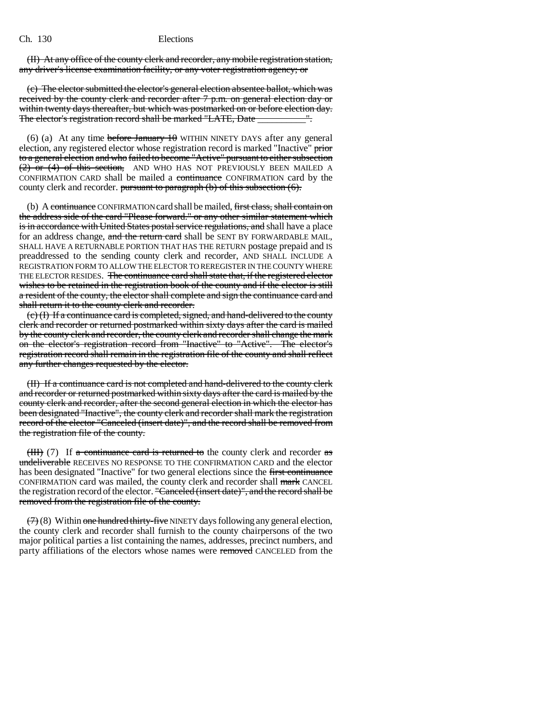(II) At any office of the county clerk and recorder, any mobile registration station, any driver's license examination facility, or any voter registration agency; or

(c) The elector submitted the elector's general election absentee ballot, which was received by the county clerk and recorder after 7 p.m. on general election day or within twenty days thereafter, but which was postmarked on or before election day. The elector's registration record shall be marked "LATE, Date \_\_\_\_\_\_\_\_\_\_\_".

(6) (a) At any time before January  $10$  WITHIN NINETY DAYS after any general election, any registered elector whose registration record is marked "Inactive" prior to a general election and who failed to become "Active" pursuant to either subsection (2) or (4) of this section, AND WHO HAS NOT PREVIOUSLY BEEN MAILED A CONFIRMATION CARD shall be mailed a continuance CONFIRMATION card by the county clerk and recorder. pursuant to paragraph  $(b)$  of this subsection  $(6)$ .

(b) A continuance CONFIRMATION card shall be mailed, first class, shall contain on the address side of the card "Please forward." or any other similar statement which is in accordance with United States postal service regulations, and shall have a place for an address change, and the return card shall be SENT BY FORWARDABLE MAIL, SHALL HAVE A RETURNABLE PORTION THAT HAS THE RETURN postage prepaid and IS preaddressed to the sending county clerk and recorder, AND SHALL INCLUDE A REGISTRATION FORM TO ALLOW THE ELECTOR TO REREGISTER IN THE COUNTY WHERE THE ELECTOR RESIDES. The continuance card shall state that, if the registered elector wishes to be retained in the registration book of the county and if the elector is still a resident of the county, the elector shall complete and sign the continuance card and shall return it to the county clerk and recorder.

(c) (I) If a continuance card is completed, signed, and hand-delivered to the county clerk and recorder or returned postmarked within sixty days after the card is mailed by the county clerk and recorder, the county clerk and recorder shall change the mark on the elector's registration record from "Inactive" to "Active". The elector's registration record shall remain in the registration file of the county and shall reflect any further changes requested by the elector.

(II) If a continuance card is not completed and hand-delivered to the county clerk and recorder or returned postmarked within sixty days after the card is mailed by the county clerk and recorder, after the second general election in which the elector has been designated "Inactive", the county clerk and recorder shall mark the registration record of the elector "Canceled (insert date)", and the record shall be removed from the registration file of the county.

(III) (7) If a continuance card is returned to the county clerk and recorder as undeliverable RECEIVES NO RESPONSE TO THE CONFIRMATION CARD and the elector has been designated "Inactive" for two general elections since the first continuance CONFIRMATION card was mailed, the county clerk and recorder shall mark CANCEL the registration record of the elector. "Canceled (insert date)", and the record shall be removed from the registration file of the county.

 $(7)$  (8) Within one hundred thirty-five NINETY days following any general election, the county clerk and recorder shall furnish to the county chairpersons of the two major political parties a list containing the names, addresses, precinct numbers, and party affiliations of the electors whose names were removed CANCELED from the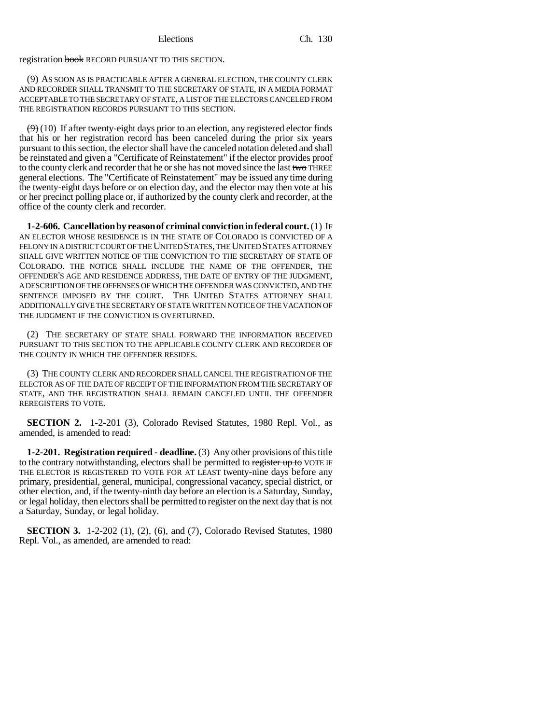registration book RECORD PURSUANT TO THIS SECTION.

(9) AS SOON AS IS PRACTICABLE AFTER A GENERAL ELECTION, THE COUNTY CLERK AND RECORDER SHALL TRANSMIT TO THE SECRETARY OF STATE, IN A MEDIA FORMAT ACCEPTABLE TO THE SECRETARY OF STATE, A LIST OF THE ELECTORS CANCELED FROM THE REGISTRATION RECORDS PURSUANT TO THIS SECTION.

 $(9)$  (10) If after twenty-eight days prior to an election, any registered elector finds that his or her registration record has been canceled during the prior six years pursuant to this section, the elector shall have the canceled notation deleted and shall be reinstated and given a "Certificate of Reinstatement" if the elector provides proof to the county clerk and recorder that he or she has not moved since the last two THREE general elections. The "Certificate of Reinstatement" may be issued any time during the twenty-eight days before or on election day, and the elector may then vote at his or her precinct polling place or, if authorized by the county clerk and recorder, at the office of the county clerk and recorder.

**1-2-606. Cancellation by reason of criminal conviction in federal court.** (1) IF AN ELECTOR WHOSE RESIDENCE IS IN THE STATE OF COLORADO IS CONVICTED OF A FELONY IN A DISTRICT COURT OF THE UNITED STATES, THE UNITED STATES ATTORNEY SHALL GIVE WRITTEN NOTICE OF THE CONVICTION TO THE SECRETARY OF STATE OF COLORADO. THE NOTICE SHALL INCLUDE THE NAME OF THE OFFENDER, THE OFFENDER'S AGE AND RESIDENCE ADDRESS, THE DATE OF ENTRY OF THE JUDGMENT, A DESCRIPTION OF THE OFFENSES OF WHICH THE OFFENDER WAS CONVICTED, AND THE SENTENCE IMPOSED BY THE COURT. THE UNITED STATES ATTORNEY SHALL ADDITIONALLY GIVE THE SECRETARY OF STATE WRITTEN NOTICE OF THE VACATION OF THE JUDGMENT IF THE CONVICTION IS OVERTURNED.

(2) THE SECRETARY OF STATE SHALL FORWARD THE INFORMATION RECEIVED PURSUANT TO THIS SECTION TO THE APPLICABLE COUNTY CLERK AND RECORDER OF THE COUNTY IN WHICH THE OFFENDER RESIDES.

(3) THE COUNTY CLERK AND RECORDER SHALL CANCEL THE REGISTRATION OF THE ELECTOR AS OF THE DATE OF RECEIPT OF THE INFORMATION FROM THE SECRETARY OF STATE, AND THE REGISTRATION SHALL REMAIN CANCELED UNTIL THE OFFENDER REREGISTERS TO VOTE.

**SECTION 2.** 1-2-201 (3), Colorado Revised Statutes, 1980 Repl. Vol., as amended, is amended to read:

**1-2-201. Registration required - deadline.** (3) Any other provisions of this title to the contrary notwithstanding, electors shall be permitted to register up to VOTE IF THE ELECTOR IS REGISTERED TO VOTE FOR AT LEAST twenty-nine days before any primary, presidential, general, municipal, congressional vacancy, special district, or other election, and, if the twenty-ninth day before an election is a Saturday, Sunday, or legal holiday, then electors shall be permitted to register on the next day that is not a Saturday, Sunday, or legal holiday.

**SECTION 3.** 1-2-202 (1), (2), (6), and (7), Colorado Revised Statutes, 1980 Repl. Vol., as amended, are amended to read: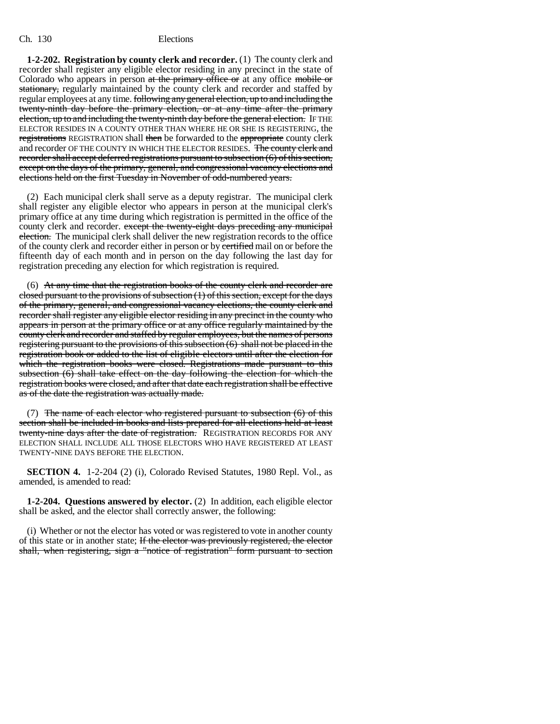### Ch. 130 Elections

**1-2-202. Registration by county clerk and recorder.** (1) The county clerk and recorder shall register any eligible elector residing in any precinct in the state of Colorado who appears in person at the primary office or at any office mobile or stationary, regularly maintained by the county clerk and recorder and staffed by regular employees at any time. following any general election, up to and including the twenty-ninth day before the primary election, or at any time after the primary election, up to and including the twenty-ninth day before the general election. IF THE ELECTOR RESIDES IN A COUNTY OTHER THAN WHERE HE OR SHE IS REGISTERING, the registrations REGISTRATION shall then be forwarded to the appropriate county clerk and recorder OF THE COUNTY IN WHICH THE ELECTOR RESIDES. The county clerk and recorder shall accept deferred registrations pursuant to subsection (6) of this section, except on the days of the primary, general, and congressional vacancy elections and elections held on the first Tuesday in November of odd-numbered years.

(2) Each municipal clerk shall serve as a deputy registrar. The municipal clerk shall register any eligible elector who appears in person at the municipal clerk's primary office at any time during which registration is permitted in the office of the county clerk and recorder. except the twenty-eight days preceding any municipal election. The municipal clerk shall deliver the new registration records to the office of the county clerk and recorder either in person or by certified mail on or before the fifteenth day of each month and in person on the day following the last day for registration preceding any election for which registration is required.

(6) At any time that the registration books of the county clerk and recorder are closed pursuant to the provisions of subsection  $(1)$  of this section, except for the days of the primary, general, and congressional vacancy elections, the county clerk and recorder shall register any eligible elector residing in any precinct in the county who appears in person at the primary office or at any office regularly maintained by the county clerk and recorder and staffed by regular employees, but the names of persons registering pursuant to the provisions of this subsection (6) shall not be placed in the registration book or added to the list of eligible electors until after the election for which the registration books were closed. Registrations made pursuant to this subsection (6) shall take effect on the day following the election for which the registration books were closed, and after that date each registration shall be effective as of the date the registration was actually made.

(7) The name of each elector who registered pursuant to subsection  $(6)$  of this section shall be included in books and lists prepared for all elections held at least twenty-nine days after the date of registration. REGISTRATION RECORDS FOR ANY ELECTION SHALL INCLUDE ALL THOSE ELECTORS WHO HAVE REGISTERED AT LEAST TWENTY-NINE DAYS BEFORE THE ELECTION.

**SECTION 4.** 1-2-204 (2) (i), Colorado Revised Statutes, 1980 Repl. Vol., as amended, is amended to read:

**1-2-204. Questions answered by elector.** (2) In addition, each eligible elector shall be asked, and the elector shall correctly answer, the following:

(i) Whether or not the elector has voted or was registered to vote in another county of this state or in another state; If the elector was previously registered, the elector shall, when registering, sign a "notice of registration" form pursuant to section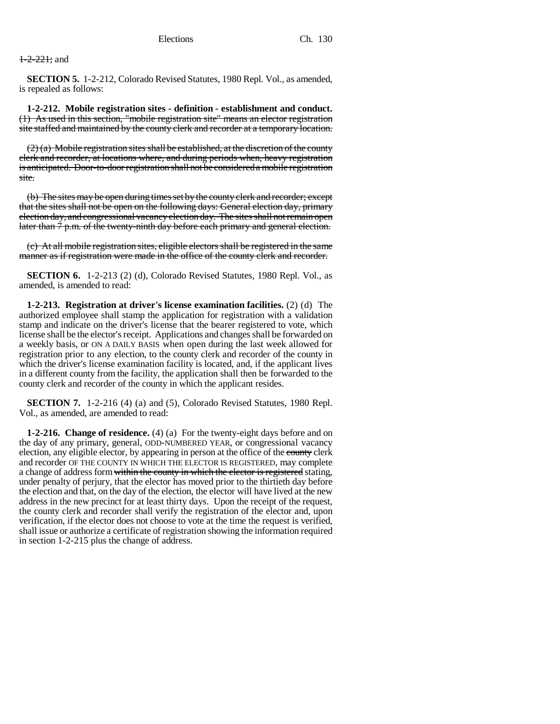## $+2-22$  $+$ ; and

**SECTION 5.** 1-2-212, Colorado Revised Statutes, 1980 Repl. Vol., as amended, is repealed as follows:

**1-2-212. Mobile registration sites - definition - establishment and conduct.** (1) As used in this section, "mobile registration site" means an elector registration site staffed and maintained by the county clerk and recorder at a temporary location.

 $(2)$  (a) Mobile registration sites shall be established, at the discretion of the county clerk and recorder, at locations where, and during periods when, heavy registration is anticipated. Door-to-door registration shall not be considered a mobile registration site.

(b) The sites may be open during times set by the county clerk and recorder; except that the sites shall not be open on the following days: General election day, primary election day, and congressional vacancy election day. The sites shall not remain open later than  $\frac{7}{9}$  p.m. of the twenty-ninth day before each primary and general election.

(c) At all mobile registration sites, eligible electors shall be registered in the same manner as if registration were made in the office of the county clerk and recorder.

**SECTION 6.** 1-2-213 (2) (d), Colorado Revised Statutes, 1980 Repl. Vol., as amended, is amended to read:

**1-2-213. Registration at driver's license examination facilities.** (2) (d) The authorized employee shall stamp the application for registration with a validation stamp and indicate on the driver's license that the bearer registered to vote, which license shall be the elector's receipt. Applications and changes shall be forwarded on a weekly basis, or ON A DAILY BASIS when open during the last week allowed for registration prior to any election, to the county clerk and recorder of the county in which the driver's license examination facility is located, and, if the applicant lives in a different county from the facility, the application shall then be forwarded to the county clerk and recorder of the county in which the applicant resides.

**SECTION 7.** 1-2-216 (4) (a) and (5), Colorado Revised Statutes, 1980 Repl. Vol., as amended, are amended to read:

**1-2-216. Change of residence.** (4) (a) For the twenty-eight days before and on the day of any primary, general, ODD-NUMBERED YEAR, or congressional vacancy election, any eligible elector, by appearing in person at the office of the county clerk and recorder OF THE COUNTY IN WHICH THE ELECTOR IS REGISTERED, may complete a change of address form within the county in which the elector is registered stating, under penalty of perjury, that the elector has moved prior to the thirtieth day before the election and that, on the day of the election, the elector will have lived at the new address in the new precinct for at least thirty days. Upon the receipt of the request, the county clerk and recorder shall verify the registration of the elector and, upon verification, if the elector does not choose to vote at the time the request is verified, shall issue or authorize a certificate of registration showing the information required in section 1-2-215 plus the change of address.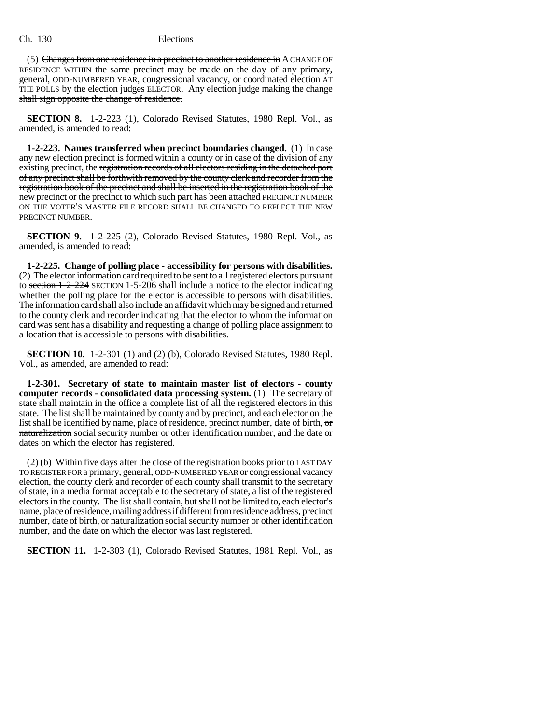Ch. 130 Elections

(5) Changes from one residence in a precinct to another residence in  $A$  CHANGE OF RESIDENCE WITHIN the same precinct may be made on the day of any primary, general, ODD-NUMBERED YEAR, congressional vacancy, or coordinated election AT THE POLLS by the election judges ELECTOR. Any election judge making the change shall sign opposite the change of residence.

**SECTION 8.** 1-2-223 (1), Colorado Revised Statutes, 1980 Repl. Vol., as amended, is amended to read:

**1-2-223. Names transferred when precinct boundaries changed.** (1) In case any new election precinct is formed within a county or in case of the division of any existing precinct, the registration records of all electors residing in the detached part of any precinct shall be forthwith removed by the county clerk and recorder from the registration book of the precinct and shall be inserted in the registration book of the new precinct or the precinct to which such part has been attached PRECINCT NUMBER ON THE VOTER'S MASTER FILE RECORD SHALL BE CHANGED TO REFLECT THE NEW PRECINCT NUMBER.

**SECTION 9.** 1-2-225 (2), Colorado Revised Statutes, 1980 Repl. Vol., as amended, is amended to read:

**1-2-225. Change of polling place - accessibility for persons with disabilities.** (2) The elector information card required to be sent to all registered electors pursuant to section 1-2-224 SECTION 1-5-206 shall include a notice to the elector indicating whether the polling place for the elector is accessible to persons with disabilities. The information card shall also include an affidavit which may be signed and returned to the county clerk and recorder indicating that the elector to whom the information card was sent has a disability and requesting a change of polling place assignment to a location that is accessible to persons with disabilities.

**SECTION 10.** 1-2-301 (1) and (2) (b), Colorado Revised Statutes, 1980 Repl. Vol., as amended, are amended to read:

**1-2-301. Secretary of state to maintain master list of electors - county computer records - consolidated data processing system.** (1) The secretary of state shall maintain in the office a complete list of all the registered electors in this state. The list shall be maintained by county and by precinct, and each elector on the list shall be identified by name, place of residence, precinct number, date of birth,  $\sigma$ naturalization social security number or other identification number, and the date or dates on which the elector has registered.

(2) (b) Within five days after the close of the registration books prior to LAST DAY TO REGISTER FOR a primary, general, ODD-NUMBERED YEAR or congressional vacancy election, the county clerk and recorder of each county shall transmit to the secretary of state, in a media format acceptable to the secretary of state, a list of the registered electors in the county. The list shall contain, but shall not be limited to, each elector's name, place of residence, mailing address if different from residence address, precinct number, date of birth, or naturalization social security number or other identification number, and the date on which the elector was last registered.

**SECTION 11.** 1-2-303 (1), Colorado Revised Statutes, 1981 Repl. Vol., as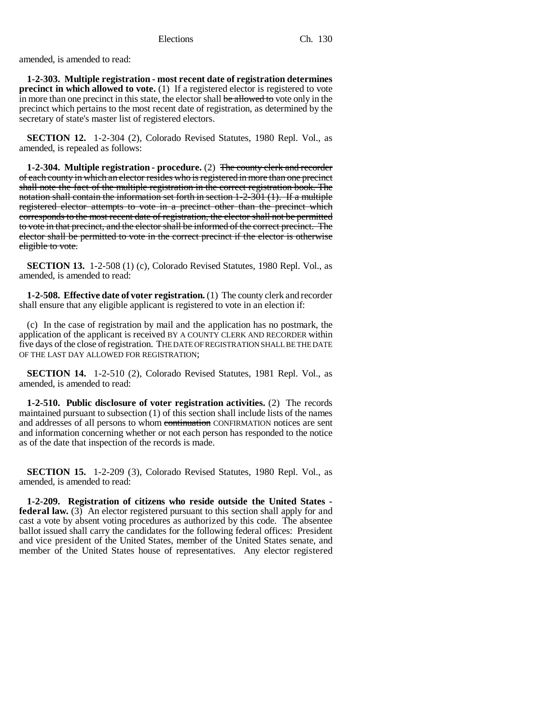amended, is amended to read:

**1-2-303. Multiple registration - most recent date of registration determines precinct in which allowed to vote.** (1) If a registered elector is registered to vote in more than one precinct in this state, the elector shall be allowed to vote only in the precinct which pertains to the most recent date of registration, as determined by the secretary of state's master list of registered electors.

**SECTION 12.** 1-2-304 (2), Colorado Revised Statutes, 1980 Repl. Vol., as amended, is repealed as follows:

**1-2-304. Multiple registration - procedure.** (2) The county clerk and recorder of each county in which an elector resides who is registered in more than one precinct shall note the fact of the multiple registration in the correct registration book. The notation shall contain the information set forth in section 1-2-301 (1). If a multiple registered elector attempts to vote in a precinct other than the precinct which corresponds to the most recent date of registration, the elector shall not be permitted to vote in that precinct, and the elector shall be informed of the correct precinct. The elector shall be permitted to vote in the correct precinct if the elector is otherwise eligible to vote.

**SECTION 13.** 1-2-508 (1) (c), Colorado Revised Statutes, 1980 Repl. Vol., as amended, is amended to read:

**1-2-508. Effective date of voter registration.** (1) The county clerk and recorder shall ensure that any eligible applicant is registered to vote in an election if:

(c) In the case of registration by mail and the application has no postmark, the application of the applicant is received BY A COUNTY CLERK AND RECORDER within five days of the close of registration. THE DATE OF REGISTRATION SHALL BE THE DATE OF THE LAST DAY ALLOWED FOR REGISTRATION;

**SECTION 14.** 1-2-510 (2), Colorado Revised Statutes, 1981 Repl. Vol., as amended, is amended to read:

**1-2-510. Public disclosure of voter registration activities.** (2) The records maintained pursuant to subsection (1) of this section shall include lists of the names and addresses of all persons to whom continuation CONFIRMATION notices are sent and information concerning whether or not each person has responded to the notice as of the date that inspection of the records is made.

**SECTION 15.** 1-2-209 (3), Colorado Revised Statutes, 1980 Repl. Vol., as amended, is amended to read:

**1-2-209. Registration of citizens who reside outside the United States federal law.** (3) An elector registered pursuant to this section shall apply for and cast a vote by absent voting procedures as authorized by this code. The absentee ballot issued shall carry the candidates for the following federal offices: President and vice president of the United States, member of the United States senate, and member of the United States house of representatives. Any elector registered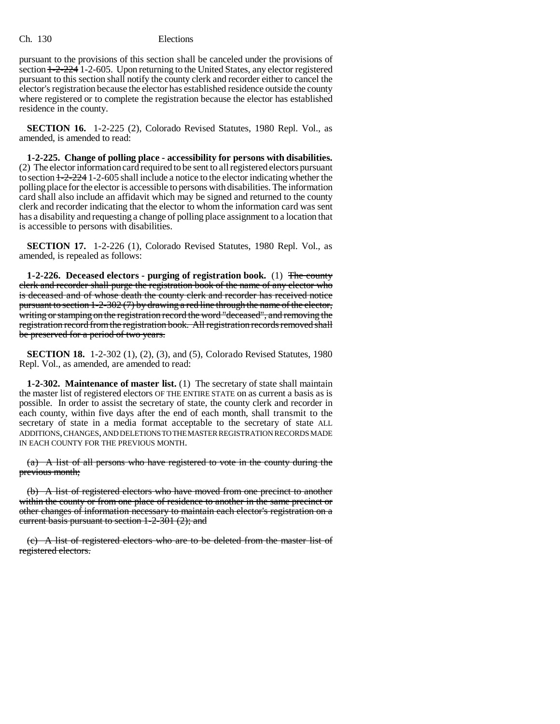pursuant to the provisions of this section shall be canceled under the provisions of section 1-2-224 1-2-605. Upon returning to the United States, any elector registered pursuant to this section shall notify the county clerk and recorder either to cancel the elector's registration because the elector has established residence outside the county where registered or to complete the registration because the elector has established residence in the county.

**SECTION 16.** 1-2-225 (2), Colorado Revised Statutes, 1980 Repl. Vol., as amended, is amended to read:

**1-2-225. Change of polling place - accessibility for persons with disabilities.** (2) The elector information card required to be sent to all registered electors pursuant to section 1-2-224 1-2-605 shall include a notice to the elector indicating whether the polling place for the elector is accessible to persons with disabilities. The information card shall also include an affidavit which may be signed and returned to the county clerk and recorder indicating that the elector to whom the information card was sent has a disability and requesting a change of polling place assignment to a location that is accessible to persons with disabilities.

**SECTION 17.** 1-2-226 (1), Colorado Revised Statutes, 1980 Repl. Vol., as amended, is repealed as follows:

**1-2-226. Deceased electors - purging of registration book.** (1) The county clerk and recorder shall purge the registration book of the name of any elector who is deceased and of whose death the county clerk and recorder has received notice pursuant to section 1-2-302 (7) by drawing a red line through the name of the elector, writing or stamping on the registration record the word "deceased", and removing the registration record from the registration book. All registration records removed shall be preserved for a period of two years.

**SECTION 18.** 1-2-302 (1), (2), (3), and (5), Colorado Revised Statutes, 1980 Repl. Vol., as amended, are amended to read:

**1-2-302. Maintenance of master list.** (1) The secretary of state shall maintain the master list of registered electors OF THE ENTIRE STATE on as current a basis as is possible. In order to assist the secretary of state, the county clerk and recorder in each county, within five days after the end of each month, shall transmit to the secretary of state in a media format acceptable to the secretary of state ALL ADDITIONS, CHANGES, AND DELETIONS TO THE MASTER REGISTRATION RECORDS MADE IN EACH COUNTY FOR THE PREVIOUS MONTH.

(a) A list of all persons who have registered to vote in the county during the previous month;

(b) A list of registered electors who have moved from one precinct to another within the county or from one place of residence to another in the same precinct or other changes of information necessary to maintain each elector's registration on a current basis pursuant to section 1-2-301 (2); and

(c) A list of registered electors who are to be deleted from the master list of registered electors.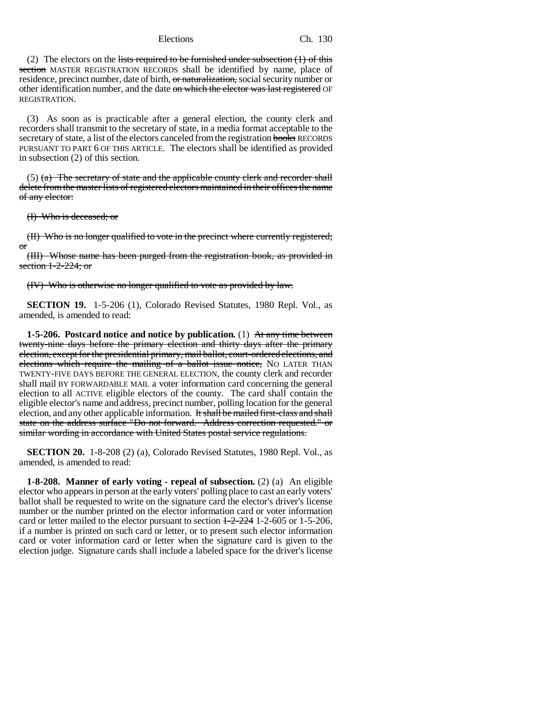Elections Ch. 130

(2) The electors on the lists required to be furnished under subsection  $(1)$  of this section MASTER REGISTRATION RECORDS shall be identified by name, place of residence, precinct number, date of birth, or naturalization, social security number or other identification number, and the date on which the elector was last registered OF REGISTRATION.

(3) As soon as is practicable after a general election, the county clerk and recorders shall transmit to the secretary of state, in a media format acceptable to the secretary of state, a list of the electors canceled from the registration books RECORDS PURSUANT TO PART 6 OF THIS ARTICLE. The electors shall be identified as provided in subsection (2) of this section.

 $(5)$  (a) The secretary of state and the applicable county clerk and recorder shall delete from the master lists of registered electors maintained in their offices the name of any elector:

(I) Who is deceased; or

(II) Who is no longer qualified to vote in the precinct where currently registered; or

(III) Whose name has been purged from the registration book, as provided in section 1-2-224; or

(IV) Who is otherwise no longer qualified to vote as provided by law.

**SECTION 19.** 1-5-206 (1), Colorado Revised Statutes, 1980 Repl. Vol., as amended, is amended to read:

**1-5-206. Postcard notice and notice by publication.** (1) At any time between twenty-nine days before the primary election and thirty days after the primary election, except for the presidential primary, mail ballot, court-ordered elections, and elections which require the mailing of a ballot issue notice. No LATER THAN TWENTY-FIVE DAYS BEFORE THE GENERAL ELECTION, the county clerk and recorder shall mail BY FORWARDABLE MAIL a voter information card concerning the general election to all ACTIVE eligible electors of the county. The card shall contain the eligible elector's name and address, precinct number, polling location for the general election, and any other applicable information. It shall be mailed first-class and shall state on the address surface "Do not forward. Address correction requested." or similar wording in accordance with United States postal service regulations.

**SECTION 20.** 1-8-208 (2) (a), Colorado Revised Statutes, 1980 Repl. Vol., as amended, is amended to read:

**1-8-208. Manner of early voting - repeal of subsection.** (2) (a) An eligible elector who appears in person at the early voters' polling place to cast an early voters' ballot shall be requested to write on the signature card the elector's driver's license number or the number printed on the elector information card or voter information card or letter mailed to the elector pursuant to section  $1-2-22-4$  1-2-605 or 1-5-206, if a number is printed on such card or letter, or to present such elector information card or voter information card or letter when the signature card is given to the election judge. Signature cards shall include a labeled space for the driver's license